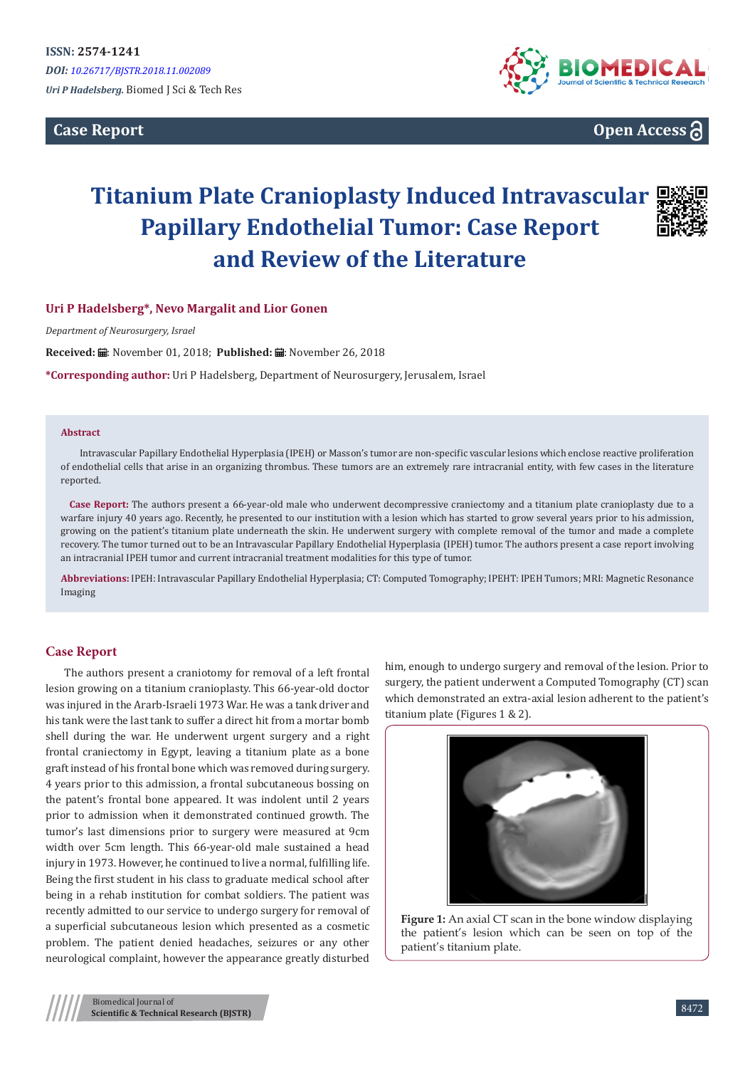**Case Report**



**Open Access**

# **Titanium Plate Cranioplasty Induced Intravascular Papillary Endothelial Tumor: Case Report and Review of the Literature**



## **Uri P Hadelsberg\*, Nevo Margalit and Lior Gonen**

*Department of Neurosurgery, Israel*

Received: *:* . November 01, 2018; Published: . November 26, 2018

**\*Corresponding author:** Uri P Hadelsberg, Department of Neurosurgery, Jerusalem, Israel

#### **Abstract**

Intravascular Papillary Endothelial Hyperplasia (IPEH) or Masson's tumor are non-specific vascular lesions which enclose reactive proliferation of endothelial cells that arise in an organizing thrombus. These tumors are an extremely rare intracranial entity, with few cases in the literature reported.

Case Report: The authors present a 66-year-old male who underwent decompressive craniectomy and a titanium plate cranioplasty due to a warfare injury 40 years ago. Recently, he presented to our institution with a lesion which has started to grow several years prior to his admission, growing on the patient's titanium plate underneath the skin. He underwent surgery with complete removal of the tumor and made a complete recovery. The tumor turned out to be an Intravascular Papillary Endothelial Hyperplasia (IPEH) tumor. The authors present a case report involving an intracranial IPEH tumor and current intracranial treatment modalities for this type of tumor.

**Abbreviations:** IPEH: Intravascular Papillary Endothelial Hyperplasia; CT: Computed Tomography; IPEHT: IPEH Tumors; MRI: Magnetic Resonance Imaging

## **Case Report**

The authors present a craniotomy for removal of a left frontal lesion growing on a titanium cranioplasty. This 66-year-old doctor was injured in the Ararb-Israeli 1973 War. He was a tank driver and his tank were the last tank to suffer a direct hit from a mortar bomb shell during the war. He underwent urgent surgery and a right frontal craniectomy in Egypt, leaving a titanium plate as a bone graft instead of his frontal bone which was removed during surgery. 4 years prior to this admission, a frontal subcutaneous bossing on the patent's frontal bone appeared. It was indolent until 2 years prior to admission when it demonstrated continued growth. The tumor's last dimensions prior to surgery were measured at 9cm width over 5cm length. This 66-year-old male sustained a head injury in 1973. However, he continued to live a normal, fulfilling life. Being the first student in his class to graduate medical school after being in a rehab institution for combat soldiers. The patient was recently admitted to our service to undergo surgery for removal of a superficial subcutaneous lesion which presented as a cosmetic problem. The patient denied headaches, seizures or any other neurological complaint, however the appearance greatly disturbed

him, enough to undergo surgery and removal of the lesion. Prior to surgery, the patient underwent a Computed Tomography (CT) scan which demonstrated an extra-axial lesion adherent to the patient's titanium plate (Figures 1 & 2).



**Figure 1:** An axial CT scan in the bone window displaying the patient's lesion which can be seen on top of the patient's titanium plate.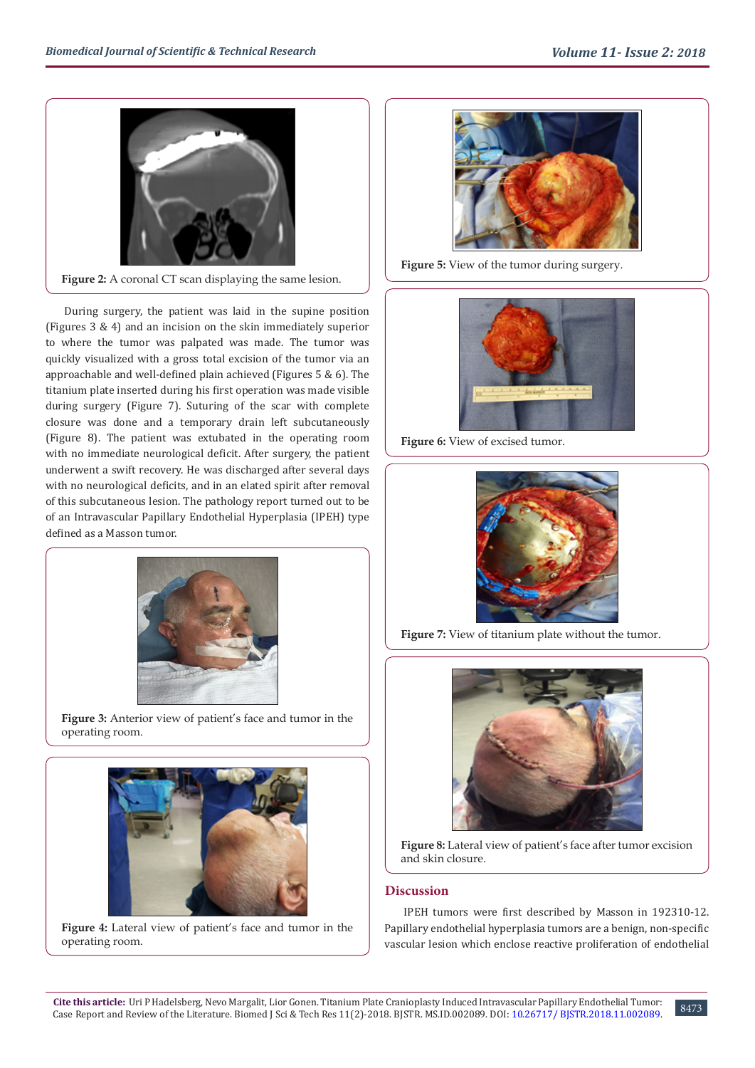

**Figure 2:** A coronal CT scan displaying the same lesion.

During surgery, the patient was laid in the supine position (Figures 3 & 4) and an incision on the skin immediately superior to where the tumor was palpated was made. The tumor was quickly visualized with a gross total excision of the tumor via an approachable and well-defined plain achieved (Figures 5 & 6). The titanium plate inserted during his first operation was made visible during surgery (Figure 7). Suturing of the scar with complete closure was done and a temporary drain left subcutaneously (Figure 8). The patient was extubated in the operating room with no immediate neurological deficit. After surgery, the patient underwent a swift recovery. He was discharged after several days with no neurological deficits, and in an elated spirit after removal of this subcutaneous lesion. The pathology report turned out to be of an Intravascular Papillary Endothelial Hyperplasia (IPEH) type defined as a Masson tumor.



Figure 3: Anterior view of patient's face and tumor in the operating room.



**Figure 4:** Lateral view of patient's face and tumor in the operating room.



**Figure 5:** View of the tumor during surgery.



Figure 6: View of excised tumor.



Figure 7: View of titanium plate without the tumor.



Figure 8: Lateral view of patient's face after tumor excision and skin closure.

# **Discussion**

IPEH tumors were first described by Masson in 192310-12. Papillary endothelial hyperplasia tumors are a benign, non-specific vascular lesion which enclose reactive proliferation of endothelial

8473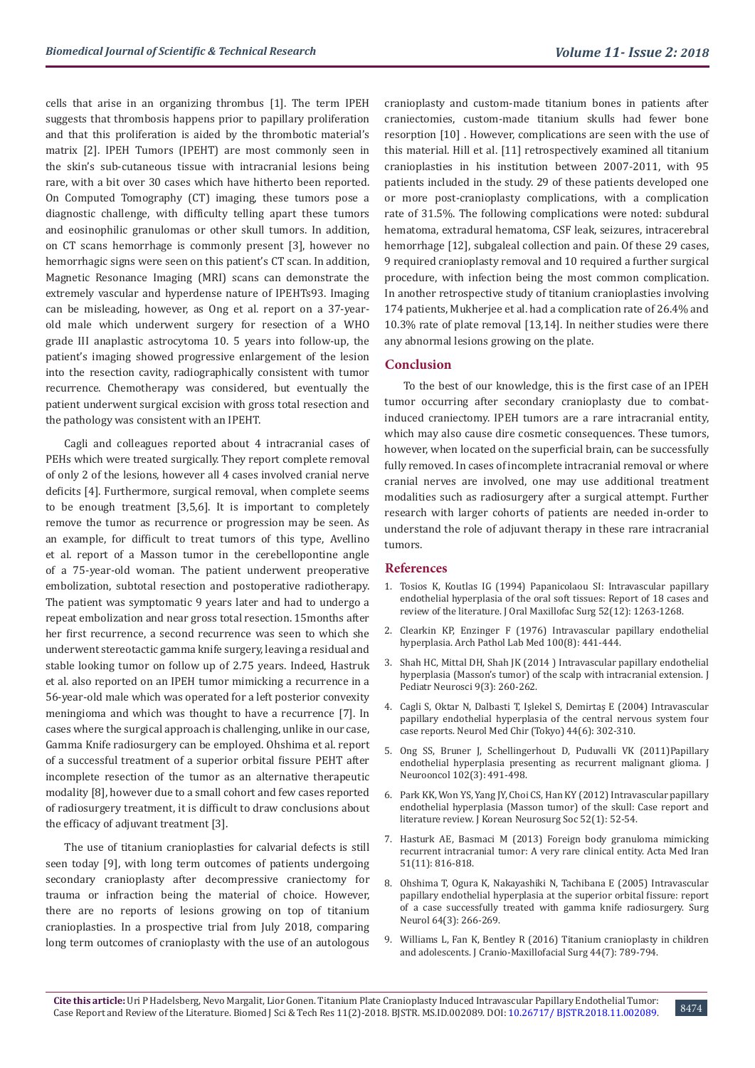cells that arise in an organizing thrombus [1]. The term IPEH suggests that thrombosis happens prior to papillary proliferation and that this proliferation is aided by the thrombotic material's matrix [2]. IPEH Tumors (IPEHT) are most commonly seen in the skin's sub-cutaneous tissue with intracranial lesions being rare, with a bit over 30 cases which have hitherto been reported. On Computed Tomography (CT) imaging, these tumors pose a diagnostic challenge, with difficulty telling apart these tumors and eosinophilic granulomas or other skull tumors. In addition, on CT scans hemorrhage is commonly present [3], however no hemorrhagic signs were seen on this patient's CT scan. In addition, Magnetic Resonance Imaging (MRI) scans can demonstrate the extremely vascular and hyperdense nature of IPEHTs93. Imaging can be misleading, however, as Ong et al. report on a 37-yearold male which underwent surgery for resection of a WHO grade III anaplastic astrocytoma 10. 5 years into follow-up, the patient's imaging showed progressive enlargement of the lesion into the resection cavity, radiographically consistent with tumor recurrence. Chemotherapy was considered, but eventually the patient underwent surgical excision with gross total resection and the pathology was consistent with an IPEHT.

Cagli and colleagues reported about 4 intracranial cases of PEHs which were treated surgically. They report complete removal of only 2 of the lesions, however all 4 cases involved cranial nerve deficits [4]. Furthermore, surgical removal, when complete seems to be enough treatment [3,5,6]. It is important to completely remove the tumor as recurrence or progression may be seen. As an example, for difficult to treat tumors of this type, Avellino et al. report of a Masson tumor in the cerebellopontine angle of a 75-year-old woman. The patient underwent preoperative embolization, subtotal resection and postoperative radiotherapy. The patient was symptomatic 9 years later and had to undergo a repeat embolization and near gross total resection. 15months after her first recurrence, a second recurrence was seen to which she underwent stereotactic gamma knife surgery, leaving a residual and stable looking tumor on follow up of 2.75 years. Indeed, Hastruk et al. also reported on an IPEH tumor mimicking a recurrence in a 56-year-old male which was operated for a left posterior convexity meningioma and which was thought to have a recurrence [7]. In cases where the surgical approach is challenging, unlike in our case, Gamma Knife radiosurgery can be employed. Ohshima et al. report of a successful treatment of a superior orbital fissure PEHT after incomplete resection of the tumor as an alternative therapeutic modality [8], however due to a small cohort and few cases reported of radiosurgery treatment, it is difficult to draw conclusions about the efficacy of adjuvant treatment [3].

The use of titanium cranioplasties for calvarial defects is still seen today [9], with long term outcomes of patients undergoing secondary cranioplasty after decompressive craniectomy for trauma or infraction being the material of choice. However, there are no reports of lesions growing on top of titanium cranioplasties. In a prospective trial from July 2018, comparing long term outcomes of cranioplasty with the use of an autologous cranioplasty and custom-made titanium bones in patients after craniectomies, custom-made titanium skulls had fewer bone resorption [10] . However, complications are seen with the use of this material. Hill et al. [11] retrospectively examined all titanium cranioplasties in his institution between 2007-2011, with 95 patients included in the study. 29 of these patients developed one or more post-cranioplasty complications, with a complication rate of 31.5%. The following complications were noted: subdural hematoma, extradural hematoma, CSF leak, seizures, intracerebral hemorrhage [12], subgaleal collection and pain. Of these 29 cases, 9 required cranioplasty removal and 10 required a further surgical procedure, with infection being the most common complication. In another retrospective study of titanium cranioplasties involving 174 patients, Mukherjee et al. had a complication rate of 26.4% and 10.3% rate of plate removal [13,14]. In neither studies were there any abnormal lesions growing on the plate.

## **Conclusion**

To the best of our knowledge, this is the first case of an IPEH tumor occurring after secondary cranioplasty due to combatinduced craniectomy. IPEH tumors are a rare intracranial entity, which may also cause dire cosmetic consequences. These tumors, however, when located on the superficial brain, can be successfully fully removed. In cases of incomplete intracranial removal or where cranial nerves are involved, one may use additional treatment modalities such as radiosurgery after a surgical attempt. Further research with larger cohorts of patients are needed in-order to understand the role of adjuvant therapy in these rare intracranial tumors.

### **References**

- 1. [Tosios K, Koutlas IG \(1994\) Papanicolaou SI: Intravascular papillary](https://www.ncbi.nlm.nih.gov/pubmed/7965329.) [endothelial hyperplasia of the oral soft tissues: Report of 18 cases and](https://www.ncbi.nlm.nih.gov/pubmed/7965329.) [review of the literature. J Oral Maxillofac Surg 52\(12\): 1263-1268.](https://www.ncbi.nlm.nih.gov/pubmed/7965329.)
- 2. [Clearkin KP, Enzinger F \(1976\) Intravascular papillary endothelial](https://www.ncbi.nlm.nih.gov/pubmed/947306.) [hyperplasia. Arch Pathol Lab Med 100\(8\): 441-444.](https://www.ncbi.nlm.nih.gov/pubmed/947306.)
- 3. [Shah HC, Mittal DH, Shah JK \(2014 \) Intravascular papillary endothelial](https://www.ncbi.nlm.nih.gov/pubmed/25624932) [hyperplasia \(Masson's tumor\) of the scalp with intracranial extension. J](https://www.ncbi.nlm.nih.gov/pubmed/25624932) [Pediatr Neurosci 9\(3\): 260-262.](https://www.ncbi.nlm.nih.gov/pubmed/25624932)
- 4. [Cagli S, Oktar N, Dalbasti T, Işlekel S, Demirtaş E \(2004\) Intravascular](https://www.ncbi.nlm.nih.gov/pubmed/15253546) [papillary endothelial hyperplasia of the central nervous system four](https://www.ncbi.nlm.nih.gov/pubmed/15253546) [case reports. Neurol Med Chir \(Tokyo\) 44\(6\): 302-310.](https://www.ncbi.nlm.nih.gov/pubmed/15253546)
- 5. [Ong SS, Bruner J, Schellingerhout D, Puduvalli VK \(2011\)Papillary](https://www.ncbi.nlm.nih.gov/pubmed/20740304) [endothelial hyperplasia presenting as recurrent malignant glioma. J](https://www.ncbi.nlm.nih.gov/pubmed/20740304) [Neurooncol 102\(3\): 491-498.](https://www.ncbi.nlm.nih.gov/pubmed/20740304)
- 6. [Park KK, Won YS, Yang JY, Choi CS, Han KY \(2012\) Intravascular papillary](https://www.ncbi.nlm.nih.gov/pubmed/22993679) [endothelial hyperplasia \(Masson tumor\) of the skull: Case report and](https://www.ncbi.nlm.nih.gov/pubmed/22993679) [literature review. J Korean Neurosurg Soc 52\(1\): 52-54.](https://www.ncbi.nlm.nih.gov/pubmed/22993679)
- 7. [Hasturk AE, Basmaci M \(2013\) Foreign body granuloma mimicking](https://www.ncbi.nlm.nih.gov/pubmed/24390955) [recurrent intracranial tumor: A very rare clinical entity. Acta Med Iran](https://www.ncbi.nlm.nih.gov/pubmed/24390955) [51\(11\): 816-818.](https://www.ncbi.nlm.nih.gov/pubmed/24390955)
- 8. [Ohshima T, Ogura K, Nakayashiki N, Tachibana E \(2005\) Intravascular](https://www.ncbi.nlm.nih.gov/pubmed/16099263) [papillary endothelial hyperplasia at the superior orbital fissure: report](https://www.ncbi.nlm.nih.gov/pubmed/16099263) [of a case successfully treated with gamma knife radiosurgery. Surg](https://www.ncbi.nlm.nih.gov/pubmed/16099263) [Neurol 64\(3\): 266-269.](https://www.ncbi.nlm.nih.gov/pubmed/16099263)
- 9. [Williams L, Fan K, Bentley R \(2016\) Titanium cranioplasty in children](https://www.ncbi.nlm.nih.gov/pubmed/27174495) [and adolescents. J Cranio-Maxillofacial Surg 44\(7\): 789-794.](https://www.ncbi.nlm.nih.gov/pubmed/27174495)